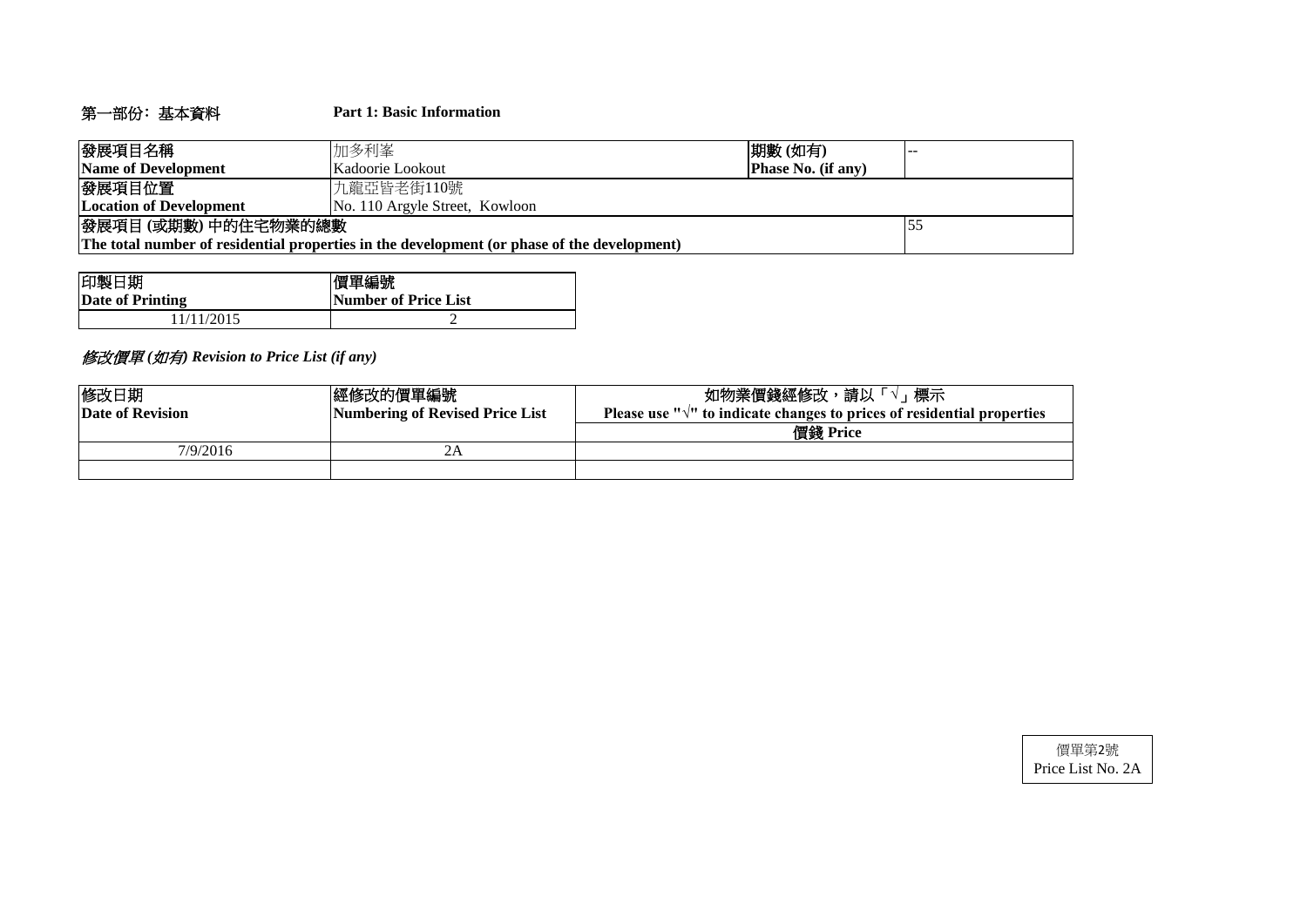# 第一部份﹕基本資料 **Part 1: Basic Information**

| 發展項目名稱                                                                                      | 加多利峯                           | 期數(如有)                    |  |  |  |  |  |  |
|---------------------------------------------------------------------------------------------|--------------------------------|---------------------------|--|--|--|--|--|--|
| Name of Development                                                                         | Kadoorie Lookout               | <b>Phase No. (if any)</b> |  |  |  |  |  |  |
| 發展項目位置                                                                                      | 九龍亞皆老街110號                     |                           |  |  |  |  |  |  |
| <b>Location of Development</b>                                                              | No. 110 Argyle Street, Kowloon |                           |  |  |  |  |  |  |
| 發展項目(或期數)中的住宅物業的總數                                                                          |                                |                           |  |  |  |  |  |  |
| The total number of residential properties in the development (or phase of the development) |                                |                           |  |  |  |  |  |  |

| 印製日期             | 價單編號                        |
|------------------|-----------------------------|
| Date of Printing | <b>Number of Price List</b> |
| 1/11/2015        |                             |

# 修改價單 *(*如有*) Revision to Price List (if any)*

| 修改日期<br>Date of Revision | 經修改的價單編號 <br>Numbering of Revised Price List | 標示<br>如物業價錢經修改,請以「√」<br>Please use $\sqrt{n}$ to indicate changes to prices of residential properties |  |  |  |  |  |
|--------------------------|----------------------------------------------|-------------------------------------------------------------------------------------------------------|--|--|--|--|--|
|                          |                                              | 價錢 Price                                                                                              |  |  |  |  |  |
| 7/9/2016                 | 2Α                                           |                                                                                                       |  |  |  |  |  |
|                          |                                              |                                                                                                       |  |  |  |  |  |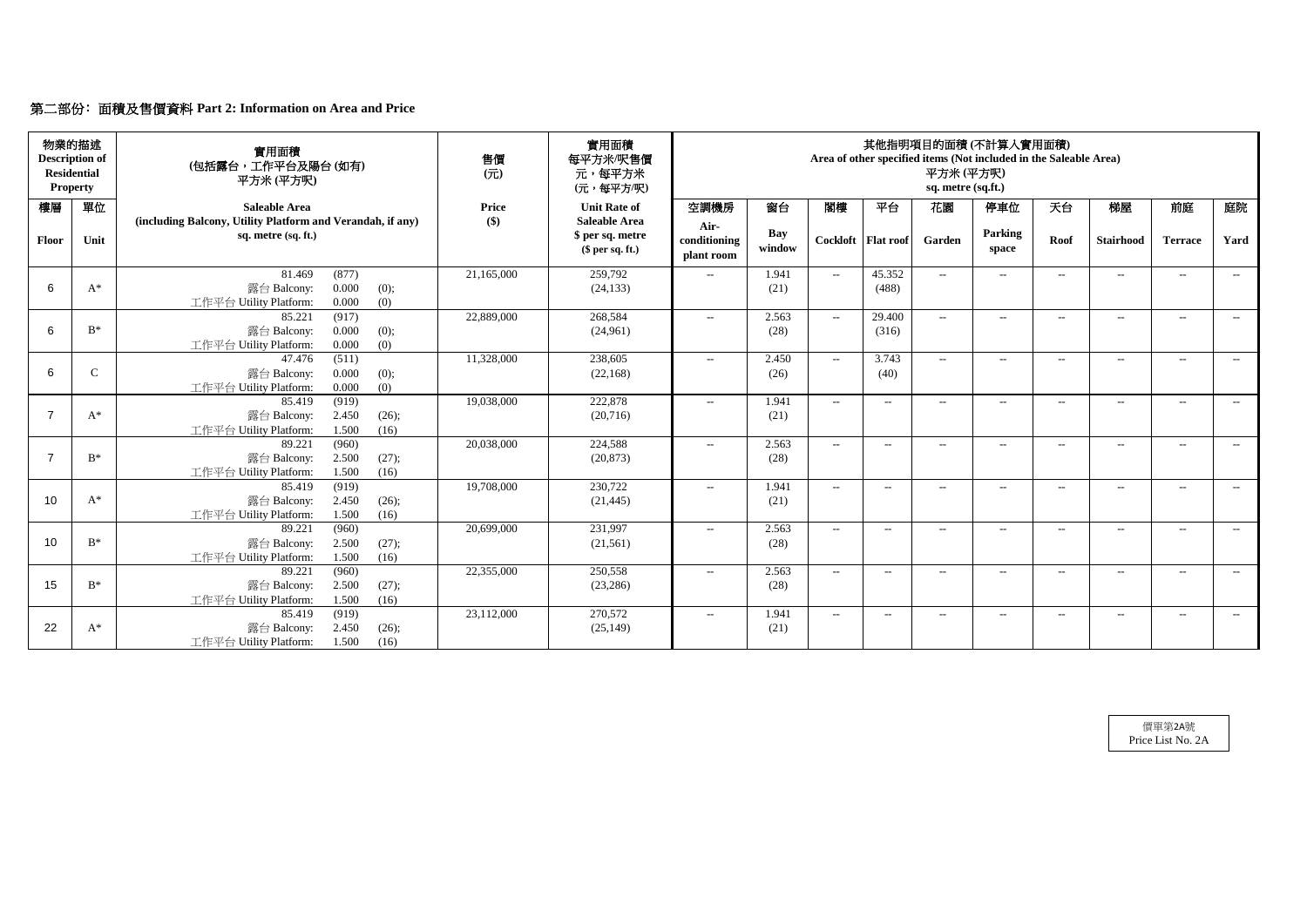# 第二部份﹕面積及售價資料 **Part 2: Information on Area and Price**

| 物業的描述<br><b>Description of</b><br><b>Residential</b><br><b>Property</b> |              | 實用面積<br>(包括露台,工作平台及陽台(如有)<br>平方米(平方呎)                                                       | 售價<br>(元)           | 實用面積<br>每平方米/呎售價<br>元,每平方米<br>(元,每平方/呎)     | 其他指明項目的面積(不計算入實用面積)<br>Area of other specified items (Not included in the Saleable Area)<br>平方米(平方呎)<br>sq. metre (sq.ft.) |                      |                                                  |                      |                          |                  |                   |                  |                          |       |
|-------------------------------------------------------------------------|--------------|---------------------------------------------------------------------------------------------|---------------------|---------------------------------------------|----------------------------------------------------------------------------------------------------------------------------|----------------------|--------------------------------------------------|----------------------|--------------------------|------------------|-------------------|------------------|--------------------------|-------|
| 樓層                                                                      | 單位           | <b>Saleable Area</b><br>(including Balcony, Utility Platform and Verandah, if any)          | <b>Price</b><br>\$) | <b>Unit Rate of</b><br><b>Saleable Area</b> | 空調機房                                                                                                                       | 窗台                   | 閣樓                                               | 平台                   | 花園                       | 停車位              | 天台                | 梯屋               | 前庭                       | 庭院    |
| Floor                                                                   | Unit         | sq. metre (sq. ft.)                                                                         |                     | \$ per sq. metre<br>$$$ per sq. ft.)        | Air-<br>conditioning<br>plant room                                                                                         | <b>Bay</b><br>window |                                                  | Cockloft   Flat roof | Garden                   | Parking<br>space | Roof              | <b>Stairhood</b> | <b>Terrace</b>           | Yard  |
| 6                                                                       | $A^*$        | 81.469<br>(877)<br>0.000<br>露台 Balcony:<br>(0);<br>0.000<br>(0)<br>工作平台 Utility Platform:   | 21,165,000          | 259,792<br>(24, 133)                        | $-$                                                                                                                        | 1.941<br>(21)        | $\sim$                                           | 45.352<br>(488)      | $ -$                     | $---$            | $--$              | $--$             | $---$                    | $--$  |
| 6                                                                       | $B^*$        | 85.221<br>(917)<br>0.000<br>露台 Balcony:<br>(0);<br>(0)<br>工作平台 Utility Platform:<br>0.000   | 22,889,000          | 268,584<br>(24,961)                         | $-$                                                                                                                        | 2.563<br>(28)        | $--$                                             | 29.400<br>(316)      | $--$                     | $-$              | $--$              | $---$            | $- -$                    | $---$ |
| 6                                                                       | $\mathsf{C}$ | (511)<br>47.476<br>0.000<br>露台 Balcony:<br>(0);<br>0.000<br>(0)<br>工作平台 Utility Platform:   | 11,328,000          | 238,605<br>(22, 168)                        | $---$                                                                                                                      | 2.450<br>(26)        | $--$                                             | 3.743<br>(40)        | $\overline{a}$           | $--$             | $---$             | $-$              | $-$                      | $--$  |
| $\overline{7}$                                                          | $A^*$        | 85.419<br>(919)<br>2.450<br>露台 Balcony:<br>(26);<br>1.500<br>工作平台 Utility Platform:<br>(16) | 19,038,000          | 222,878<br>(20, 716)                        | $-$                                                                                                                        | 1.941<br>(21)        | $--$                                             | $ -$                 | $\overline{a}$           | $-$              | $--$              | $- -$            | $-$                      | $---$ |
| $\overline{7}$                                                          | $B^*$        | 89.221<br>(960)<br>2.500<br>露台 Balcony:<br>(27);<br>1.500<br>工作平台 Utility Platform:<br>(16) | 20,038,000          | 224,588<br>(20, 873)                        | $\mathcal{L}(\mathcal{L})$                                                                                                 | 2.563<br>(28)        | $--$                                             | $--$                 | $\overline{a}$           | $-$              | $--$              | $---$            | $--$                     | $--$  |
| 10                                                                      | $A^*$        | (919)<br>85.419<br>2.450<br>露台 Balcony:<br>(26);<br>工作平台 Utility Platform:<br>1.500<br>(16) | 19,708,000          | 230,722<br>(21, 445)                        | $---$                                                                                                                      | 1.941<br>(21)        | $\overline{\phantom{a}}$                         | $\qquad \qquad -$    | $\overline{\phantom{a}}$ | $--$             | $\qquad \qquad -$ | $---$            | $-$                      | $--$  |
| 10                                                                      | $B^*$        | (960)<br>89.221<br>2.500<br>(27);<br>露台 Balcony:<br>工作平台 Utility Platform:<br>1.500<br>(16) | 20,699,000          | 231,997<br>(21,561)                         | $\mathcal{L} = \mathcal{L}$                                                                                                | 2.563<br>(28)        | $\hspace{0.1em} -\hspace{0.1em} -\hspace{0.1em}$ | $--$                 | $-$                      | $--$             | $\qquad \qquad -$ | $--$             | $--$                     | $---$ |
| 15                                                                      | $B^*$        | 89.221<br>(960)<br>2.500<br>露台 Balcony:<br>(27);<br>工作平台 Utility Platform:<br>1.500<br>(16) | 22,355,000          | 250,558<br>(23, 286)                        | $\mathcal{L} = \mathcal{L}$                                                                                                | 2.563<br>(28)        | $\overline{\phantom{a}}$                         | $--$                 | $--$                     | $--$             | $--$              | $--$             | $\overline{\phantom{a}}$ | $--$  |
| 22                                                                      | $A^*$        | 85.419<br>(919)<br>露台 Balcony:<br>2.450<br>(26);<br>工作平台 Utility Platform:<br>1.500<br>(16) | 23,112,000          | 270,572<br>(25, 149)                        | $\mathcal{L}(\mathcal{L})$                                                                                                 | 1.941<br>(21)        | $\mathcal{L}_{\mathcal{F}}$                      | $--$                 | $--$                     | $--$             | $--$              | $--$             | $--$                     | $--$  |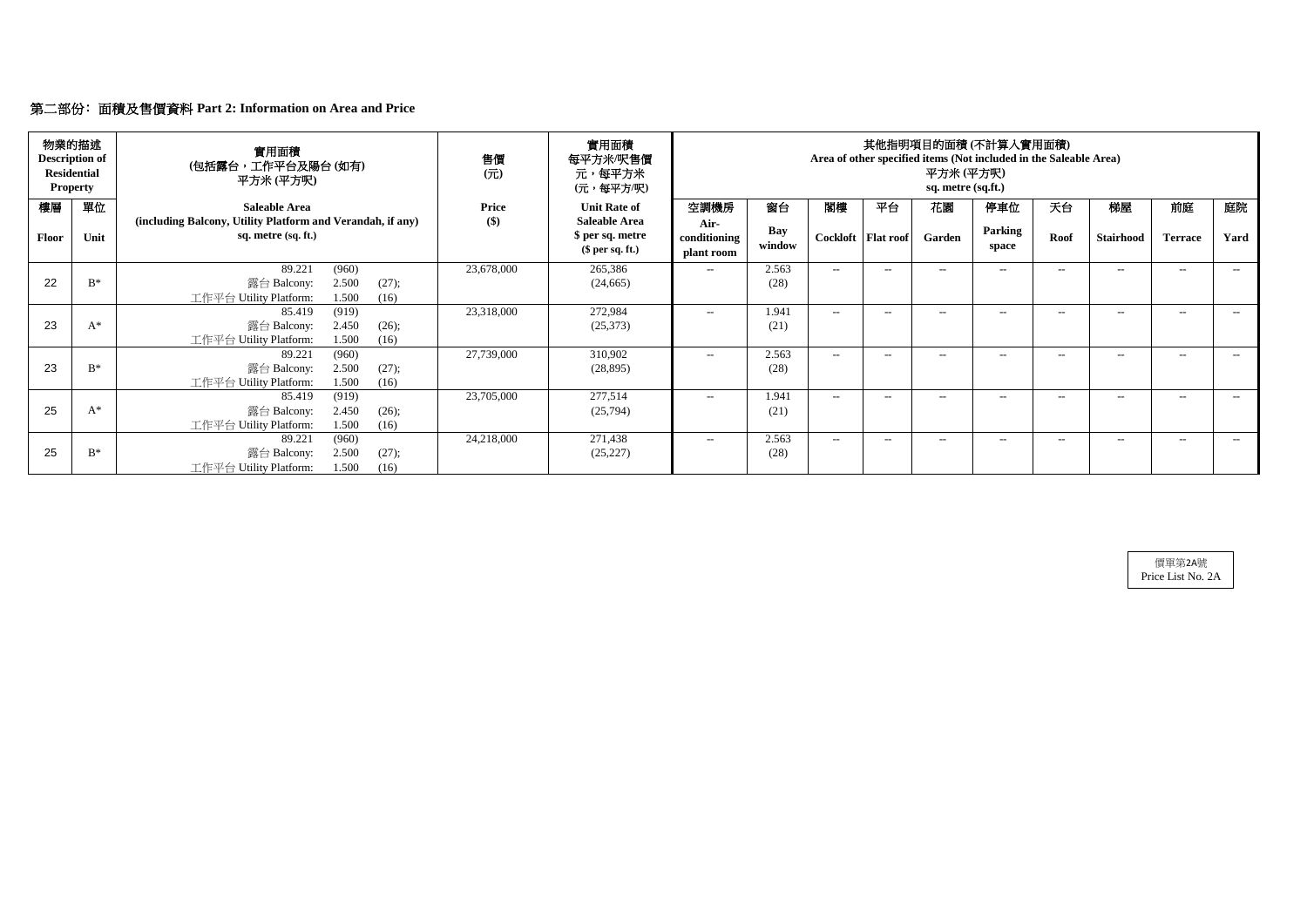|       | 物業的描述<br><b>Description of</b><br><b>Residential</b><br><b>Property</b> | 實用面積<br>(包括露台,工作平台及陽台(如有)<br>平方米 (平方呎)                                                      | 售價<br>$($ $\overrightarrow{\pi}$ $)$ | 實用面積<br>每平方米/呎售價<br>元,每平方米<br>(元,每平方/呎)     | 其他指明項目的面積(不計算入實用面積)<br>Area of other specified items (Not included in the Saleable Area)<br>平方米 (平方呎)<br>sq. metre (sq.ft.) |               |        |                      |        |                  |       |                  |                |       |
|-------|-------------------------------------------------------------------------|---------------------------------------------------------------------------------------------|--------------------------------------|---------------------------------------------|-----------------------------------------------------------------------------------------------------------------------------|---------------|--------|----------------------|--------|------------------|-------|------------------|----------------|-------|
| 樓層    | 單位                                                                      | <b>Saleable Area</b><br>(including Balcony, Utility Platform and Verandah, if any)          | <b>Price</b><br>\$)                  | <b>Unit Rate of</b><br><b>Saleable Area</b> | 空調機房<br>Air-                                                                                                                | 窗台            | 閣樓     | 平台                   | 花園     | 停車位              | 天台    | 梯屋               | 前庭             | 庭院    |
| Floor | Unit                                                                    | sq. metre (sq. ft.)                                                                         | \$ per sq. metre<br>$$$ per sq. ft.) |                                             | conditioning<br>plant room                                                                                                  | Bay<br>window |        | Cockloft   Flat roof | Garden | Parking<br>space | Roof  | <b>Stairhood</b> | <b>Terrace</b> | Yard  |
|       |                                                                         | 89.221<br>(960)                                                                             | 23,678,000                           | 265,386                                     | $--$                                                                                                                        | 2.563         | $ -$   | $- -$                | $- -$  | $- -$            | $--$  | $--$             | $-$            | $---$ |
| 22    | $B^*$                                                                   | 2.500<br>露台 Balcony:<br>(27);<br>工作平台 Utility Platform:<br>1.500<br>(16)                    |                                      | (24, 665)                                   |                                                                                                                             | (28)          |        |                      |        |                  |       |                  |                |       |
| 23    | $A^*$                                                                   | (919)<br>85.419<br>2.450<br>露台 Balcony:<br>(26);<br>工作平台 Utility Platform:<br>1.500<br>(16) | 23,318,000                           | 272,984<br>(25,373)                         | $---$                                                                                                                       | 1.941<br>(21) | $-$    | $--$                 | $- -$  | $---$            | $-$   | $--$             | $--$           | $--$  |
| 23    | $B^*$                                                                   | 89.221<br>(960)<br>2.500<br>露台 Balcony:<br>(27);<br>1.500<br>工作平台 Utility Platform:<br>(16) | 27,739,000                           | 310,902<br>(28, 895)                        | $---$                                                                                                                       | 2.563<br>(28) | $\sim$ | $--$                 | $- -$  | $---$            | $--$  | $---$            | $--$           | $--$  |
| 25    | $A^*$                                                                   | (919)<br>85.419<br>露台 Balcony:<br>2.450<br>(26);<br>工作平台 Utility Platform:<br>1.500<br>(16) | 23,705,000                           | 277,514<br>(25,794)                         | $---$                                                                                                                       | 1.941<br>(21) | $ -$   | $- -$                | $-$    | $- -$            | $-$   | $--$             | $--$           | $---$ |
| 25    | $B^*$                                                                   | (960)<br>89.221<br>2.500<br>露台 Balcony:<br>(27);<br>1.500<br>工作平台 Utility Platform:<br>(16) | 24,218,000                           | 271,438<br>(25, 227)                        | $---$                                                                                                                       | 2.563<br>(28) | $-$    | $- -$                | $--$   | $- -$            | $- -$ | $--$             | $--$           | $--$  |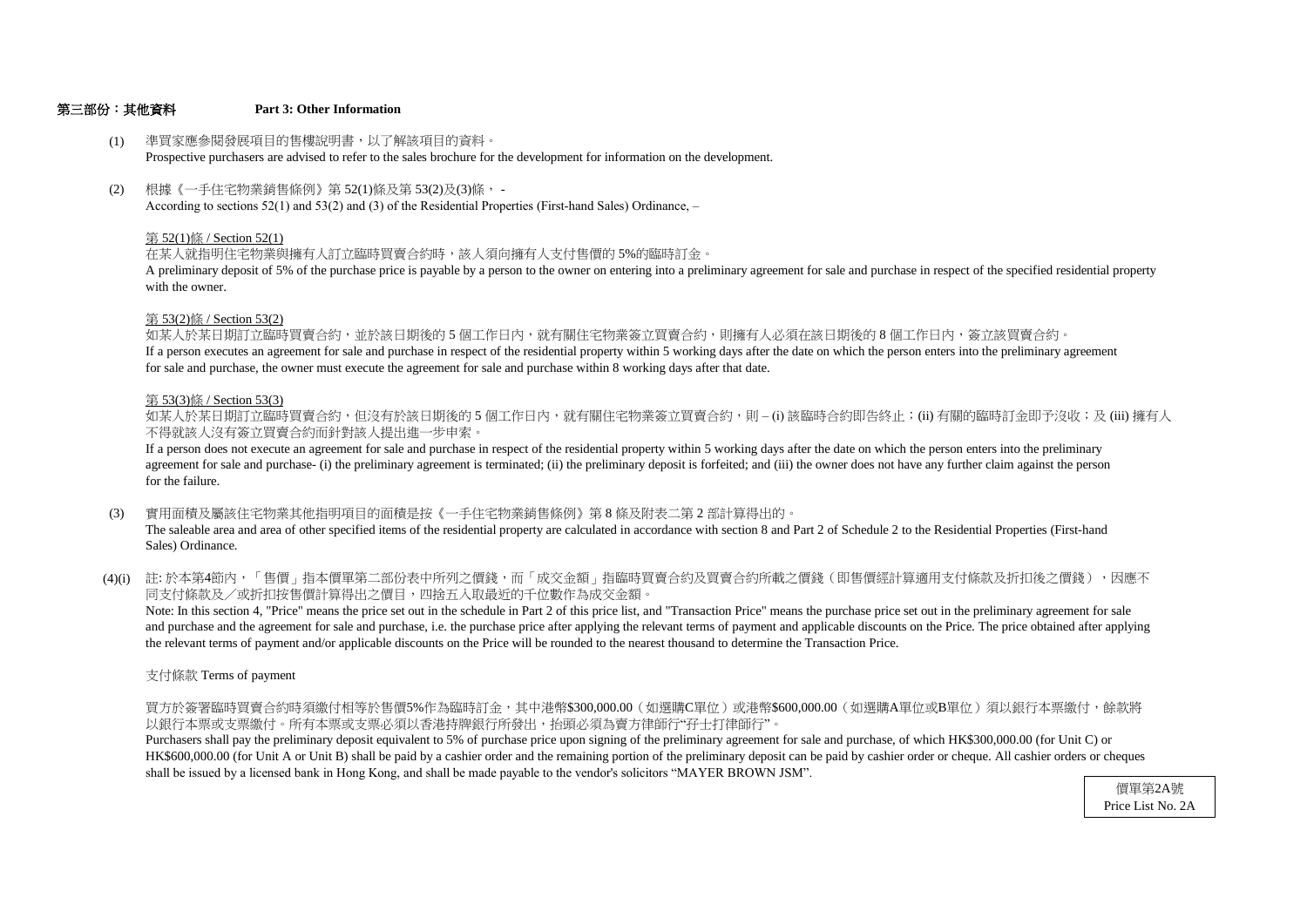#### 第三部份:其他資料 **Part 3: Other Information**

#### 第 53(2)條 / Section 53(2)

- (1) 準買家應參閱發展項目的售樓說明書,以了解該項目的資料。 Prospective purchasers are advised to refer to the sales brochure for the development for information on the development.
- (2) 根據《一手住宅物業銷售條例》第 52(1)條及第 53(2)及(3)條, - According to sections 52(1) and 53(2) and (3) of the Residential Properties (First-hand Sales) Ordinance, –

with the owner. A preliminary deposit of 5% of the purchase price is payable by a person to the owner on entering into a preliminary agreement for sale and purchase in respect of the specified residential property

#### 第 52(1)條 / Section 52(1)

在某人就指明住宅物業與擁有人訂立臨時買賣合約時,該人須向擁有人支付售價的 5%的臨時訂金。

不得就該人沒有簽立買賣合約而針對該人提出進一步申索。 如某人於某日期訂立臨時買賣合約,但沒有於該日期後的 5 個工作日内,就有關住宅物業簽立買賣合約,則 – (i) 該臨時合約即告終止;(ii) 有關的臨時訂金即予沒收;及 (iii) 擁有人

如某人於某日期訂立臨時買賣合約,並於該日期後的 5 個工作日內,就有關住宅物業簽立買賣合約,則擁有人必須在該日期後的 8 個工作日内,簽立該買賣合約。 If a person executes an agreement for sale and purchase in respect of the residential property within 5 working days after the date on which the person enters into the preliminary agreement for sale and purchase, the owner must execute the agreement for sale and purchase within 8 working days after that date.

#### 第 53(3)條 / Section 53(3)

- (3) 實用面積及屬該住宅物業其他指明項目的面積是按《一手住宅物業銷售條例》第 8 條及附表二第 2 部計算得出的。 The saleable area and area of other specified items of the residential property are calculated in accordance with section 8 and Part 2 of Schedule 2 to the Residential Properties (First-hand Sales) Ordinance.
- (4)(i) 註:於本第4節內,「售價」指本價單第二部份表中所列之價錢,而「成交金額」指臨時買賣合約及買賣合約所載之價錢(即售價經計算適用支付條款及折扣後之價錢),因應不 同支付條款及/或折扣按售價計算得出之價目,四捨五入取最近的千位數作為成交金額。

for the failure. agreement for sale and purchase- (i) the preliminary agreement is terminated; (ii) the preliminary deposit is forfeited; and (iii) the owner does not have any further claim against the person If a person does not execute an agreement for sale and purchase in respect of the residential property within 5 working days after the date on which the person enters into the preliminary

the relevant terms of payment and/or applicable discounts on the Price will be rounded to the nearest thousand to determine the Transaction Price. and purchase and the agreement for sale and purchase, i.e. the purchase price after applying the relevant terms of payment and applicable discounts on the Price. The price obtained after applying Note: In this section 4, "Price" means the price set out in the schedule in Part 2 of this price list, and "Transaction Price" means the purchase price set out in the preliminary agreement for sale

支付條款 Terms of payment

以銀行本票或支票繳付。所有本票或支票必須以香港持牌銀行所發出,抬頭必須為賣方律師行"孖士打律師行"。 買方於簽署臨時買賣合約時須繳付相等於售價5%作為臨時訂金,其中港幣\$300,000.00(如選購C單位)或港幣\$600,000.00(如選購A單位或B單位)須以銀行本票繳付,餘款將

shall be issued by a licensed bank in Hong Kong, and shall be made payable to the vendor's solicitors "MAYER BROWN JSM". HK\$600,000.00 (for Unit A or Unit B) shall be paid by a cashier order and the remaining portion of the preliminary deposit can be paid by cashier order or cheque. All cashier orders or cheques Purchasers shall pay the preliminary deposit equivalent to 5% of purchase price upon signing of the preliminary agreement for sale and purchase, of which HK\$300,000.00 (for Unit C) or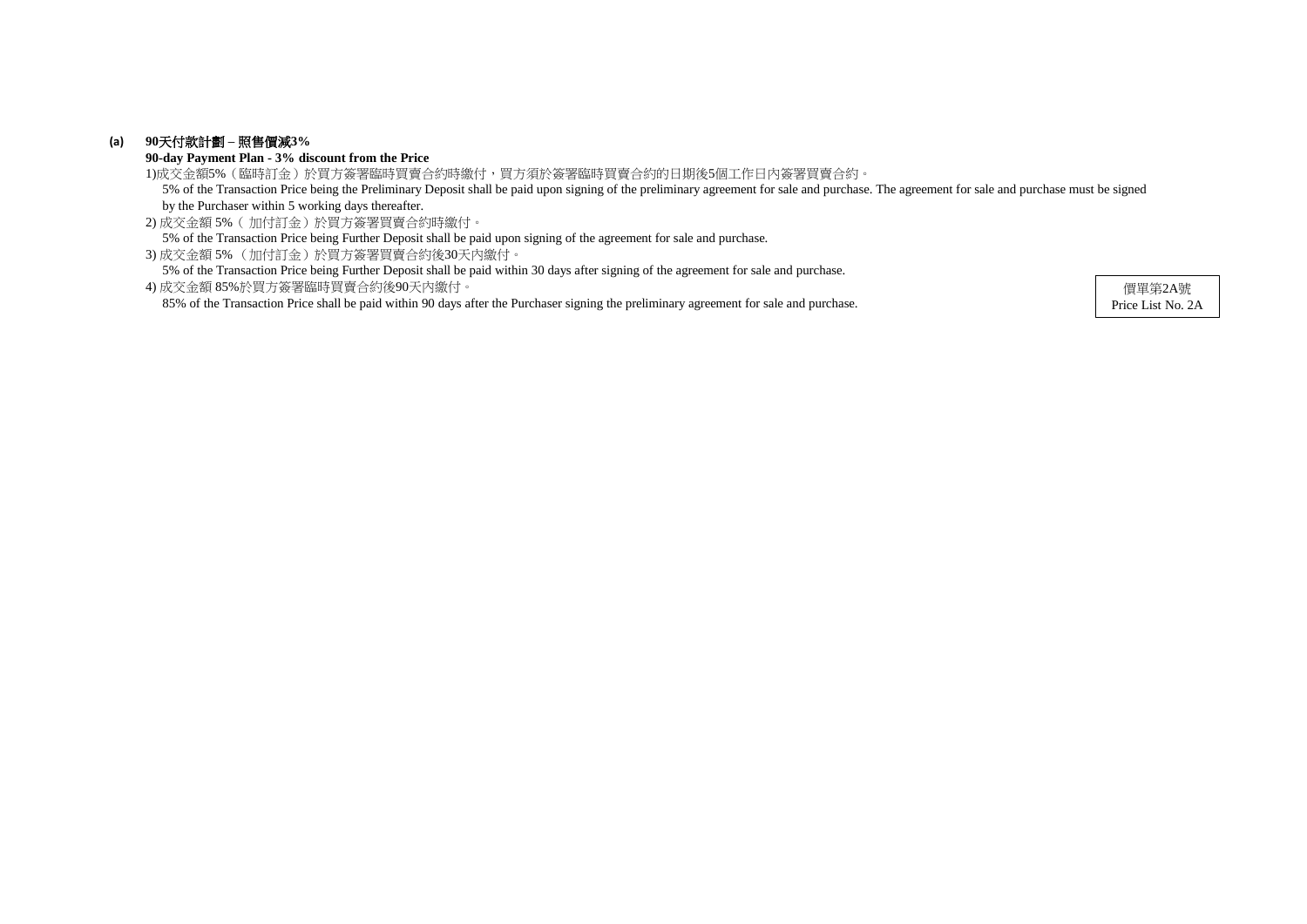### **(a) 90**天付款計劃 **–** 照售價減**3%**

**90-day Payment Plan - 3% discount from the Price**

2) 成交金額 5%( 加付訂金)於買方簽署買賣合約時繳付。 5% of the Transaction Price being Further Deposit shall be paid upon signing of the agreement for sale and purchase.

3) 成交金額 5% (加付訂金)於買方簽署買賣合約後30天內繳付。

5% of the Transaction Price being Further Deposit shall be paid within 30 days after signing of the agreement for sale and purchase.

1)成交金額5%(臨時訂金)於買方簽署臨時買賣合約時繳付,買方須於簽署臨時買賣合約的日期後5個工作日內簽署買賣合約。 5% of the Transaction Price being the Preliminary Deposit shall be paid upon signing of the preliminary agreement for sale and purchase. The agreement for sale and purchase must be signed by the Purchaser within 5 working days thereafter.

4) 成交金額 85%於買方簽署臨時買賣合約後90天內繳付。 85% of the Transaction Price shall be paid within 90 days after the Purchaser signing the preliminary agreement for sale and purchase.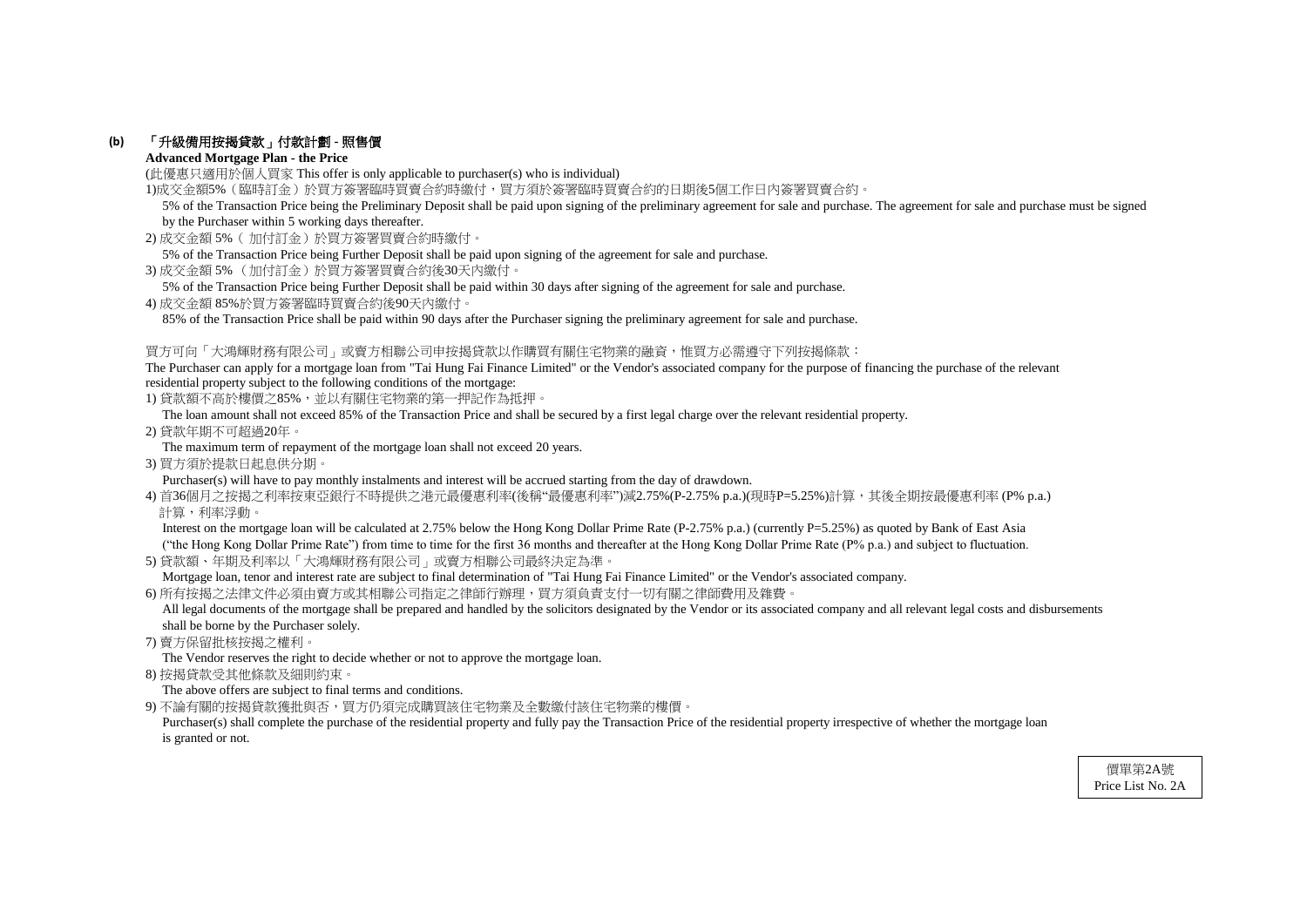### **(b)** 「升級備用按揭貸款」付款計劃 **-** 照售價

#### **Advanced Mortgage Plan - the Price**

(此優惠只適用於個人買家 This offer is only applicable to purchaser(s) who is individual)

1)成交金額5%(臨時訂金)於買方簽署臨時買賣合約時繳付,買方須於簽署臨時買賣合約的日期後5個工作日內簽署買賣合約。

- 2) 成交金額 5%( 加付訂金)於買方簽署買賣合約時繳付。
- 5% of the Transaction Price being Further Deposit shall be paid upon signing of the agreement for sale and purchase.
- 3) 成交金額 5% (加付訂金)於買方簽署買賣合約後30天內繳付。
- 5% of the Transaction Price being Further Deposit shall be paid within 30 days after signing of the agreement for sale and purchase.
- 4) 成交金額 85%於買方簽署臨時買賣合約後90天內繳付。

85% of the Transaction Price shall be paid within 90 days after the Purchaser signing the preliminary agreement for sale and purchase.

#### 買方可向「大鴻輝財務有限公司」或賣方相聯公司申按揭貸款以作購買有關住宅物業的融資,惟買方必需遵守下列按揭條款:

The Purchaser can apply for a mortgage loan from "Tai Hung Fai Finance Limited" or the Vendor's associated company for the purpose of financing the purchase of the relevant residential property subject to the following conditions of the mortgage:

1) 貸款額不高於樓價之85%,並以有關住宅物業的第一押記作為抵押。

Interest on the mortgage loan will be calculated at 2.75% below the Hong Kong Dollar Prime Rate (P-2.75% p.a.) (currently P=5.25%) as quoted by Bank of East Asia ("the Hong Kong Dollar Prime Rate") from time to time for the first 36 months and thereafter at the Hong Kong Dollar Prime Rate (P% p.a.) and subject to fluctuation.

The loan amount shall not exceed 85% of the Transaction Price and shall be secured by a first legal charge over the relevant residential property.

All legal documents of the mortgage shall be prepared and handled by the solicitors designated by the Vendor or its associated company and all relevant legal costs and disbursements shall be borne by the Purchaser solely.

2) 貸款年期不可超過20年。

The maximum term of repayment of the mortgage loan shall not exceed 20 years.

3) 買方須於提款日起息供分期。

Purchaser(s) will have to pay monthly instalments and interest will be accrued starting from the day of drawdown.

4) 首36個月之按揭之利率按東亞銀行不時提供之港元最優惠利率(後稱"最優惠利率")減2.75%(P-2.75% p.a.)(現時P=5.25%)計算,其後全期按最優惠利率 (P% p.a.) 計算,利率浮動。

Purchaser(s) shall complete the purchase of the residential property and fully pay the Transaction Price of the residential property irrespective of whether the mortgage loan is granted or not.

5) 貸款額、年期及利率以「大鴻輝財務有限公司」或賣方相聯公司最終決定為準。

Mortgage loan, tenor and interest rate are subject to final determination of "Tai Hung Fai Finance Limited" or the Vendor's associated company.

6) 所有按揭之法律文件必須由賣方或其相聯公司指定之律師行辦理,買方須負責支付一切有關之律師費用及雜費。

7) 賣方保留批核按揭之權利。

The Vendor reserves the right to decide whether or not to approve the mortgage loan.

8) 按揭貸款受其他條款及細則約束。

The above offers are subject to final terms and conditions.

9) 不論有關的按揭貸款獲批與否,買方仍須完成購買該住宅物業及全數繳付該住宅物業的樓價。

 5% of the Transaction Price being the Preliminary Deposit shall be paid upon signing of the preliminary agreement for sale and purchase. The agreement for sale and purchase must be signed by the Purchaser within 5 working days thereafter.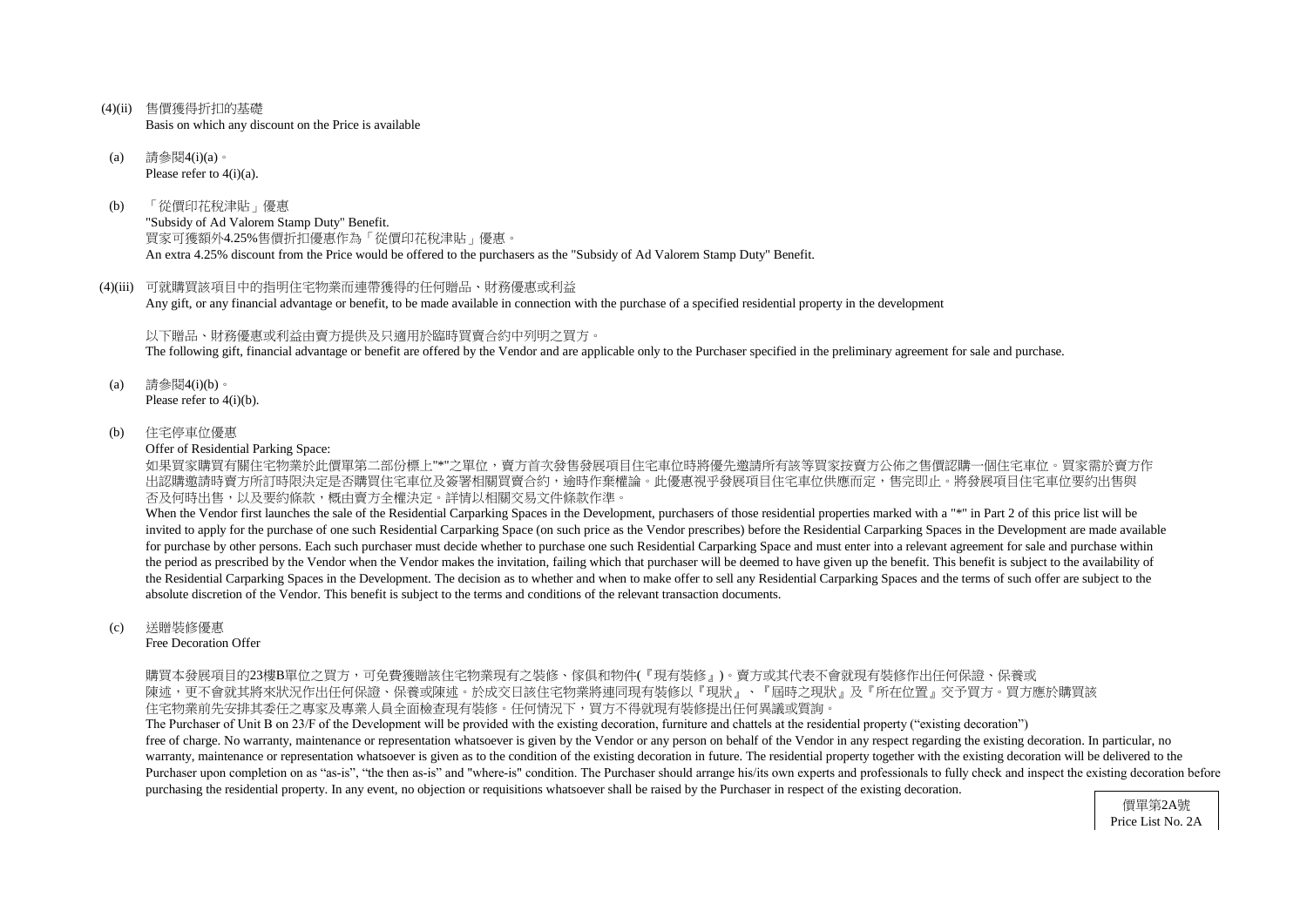- (4)(ii) 售價獲得折扣的基礎 Basis on which any discount on the Price is available
- (a) 請參閱4(i)(a)。 Please refer to  $4(i)(a)$ .
- (b) 「從價印花稅津貼」優惠 "Subsidy of Ad Valorem Stamp Duty" Benefit. 買家可獲額外4.25%售價折扣優惠作為「從價印花稅津貼」優惠。 An extra 4.25% discount from the Price would be offered to the purchasers as the "Subsidy of Ad Valorem Stamp Duty" Benefit.
- (4)(iii) 可就購買該項目中的指明住宅物業而連帶獲得的任何贈品、財務優惠或利益 Any gift, or any financial advantage or benefit, to be made available in connection with the purchase of a specified residential property in the development

如果買家購買有關住宅物業於此價單第二部份標上"\*"之單位,賣方首次發售發展項目住宅車位時將優先邀請所有該等買家按賣方公佈之售價認購一個住宅車位。買家需於賣方作 出認購邀請時賣方所訂時限決定是否購買住宅車位及簽署相關買賣合約,逾時作棄權論。此優惠視乎發展項目住宅車位供應而定,售完即止。將發展項目住宅車位要約出售與 否及何時出售,以及要約條款,概由賣方全權決定。詳情以相關交易文件條款作準。

以下贈品、財務優惠或利益由賣方提供及只適用於臨時買賣合約中列明之買方。 The following gift, financial advantage or benefit are offered by the Vendor and are applicable only to the Purchaser specified in the preliminary agreement for sale and purchase.

- (a) 請參閱4(i)(b)。 Please refer to 4(i)(b).
- (b) 住宅停車位優惠

Offer of Residential Parking Space:

When the Vendor first launches the sale of the Residential Carparking Spaces in the Development, purchasers of those residential properties marked with a "\*" in Part 2 of this price list will be invited to apply for the purchase of one such Residential Carparking Space (on such price as the Vendor prescribes) before the Residential Carparking Spaces in the Development are made available for purchase by other persons. Each such purchaser must decide whether to purchase one such Residential Carparking Space and must enter into a relevant agreement for sale and purchase within the period as prescribed by the Vendor when the Vendor makes the invitation, failing which that purchaser will be deemed to have given up the benefit. This benefit is subject to the availability of the Residential Carparking Spaces in the Development. The decision as to whether and when to make offer to sell any Residential Carparking Spaces and the terms of such offer are subject to the absolute discretion of the Vendor. This benefit is subject to the terms and conditions of the relevant transaction documents.

#### (c) 送贈裝修優惠

Free Decoration Offer

購買本發展項目的23樓B單位之買方,可免費獲贈該住宅物業現有之裝修、傢俱和物件(『現有裝修』)。賣方或其代表不會就現有裝修作出任何保證、保養或 陳述,更不會就其將來狀況作出任何保證、保養或陳述。於成交日該住宅物業將連同現有裝修以『現狀』、『屆時之現狀』及『所在位置』交予買方。買方應於購買該 住宅物業前先安排其委任之專家及專業人員全面檢查現有裝修。任何情況下,買方不得就現有裝修提出任何異議或質詢

The Purchaser of Unit B on 23/F of the Development will be provided with the existing decoration, furniture and chattels at the residential property ("existing decoration") free of charge. No warranty, maintenance or representation whatsoever is given by the Vendor or any person on behalf of the Vendor in any respect regarding the existing decoration. In particular, no warranty, maintenance or representation whatsoever is given as to the condition of the existing decoration in future. The residential property together with the existing decoration will be delivered to the Purchaser upon completion on as "as-is", "the then as-is" and "where-is" condition. The Purchaser should arrange his/its own experts and professionals to fully check and inspect the existing decoration before purchasing the residential property. In any event, no objection or requisitions whatsoever shall be raised by the Purchaser in respect of the existing decoration.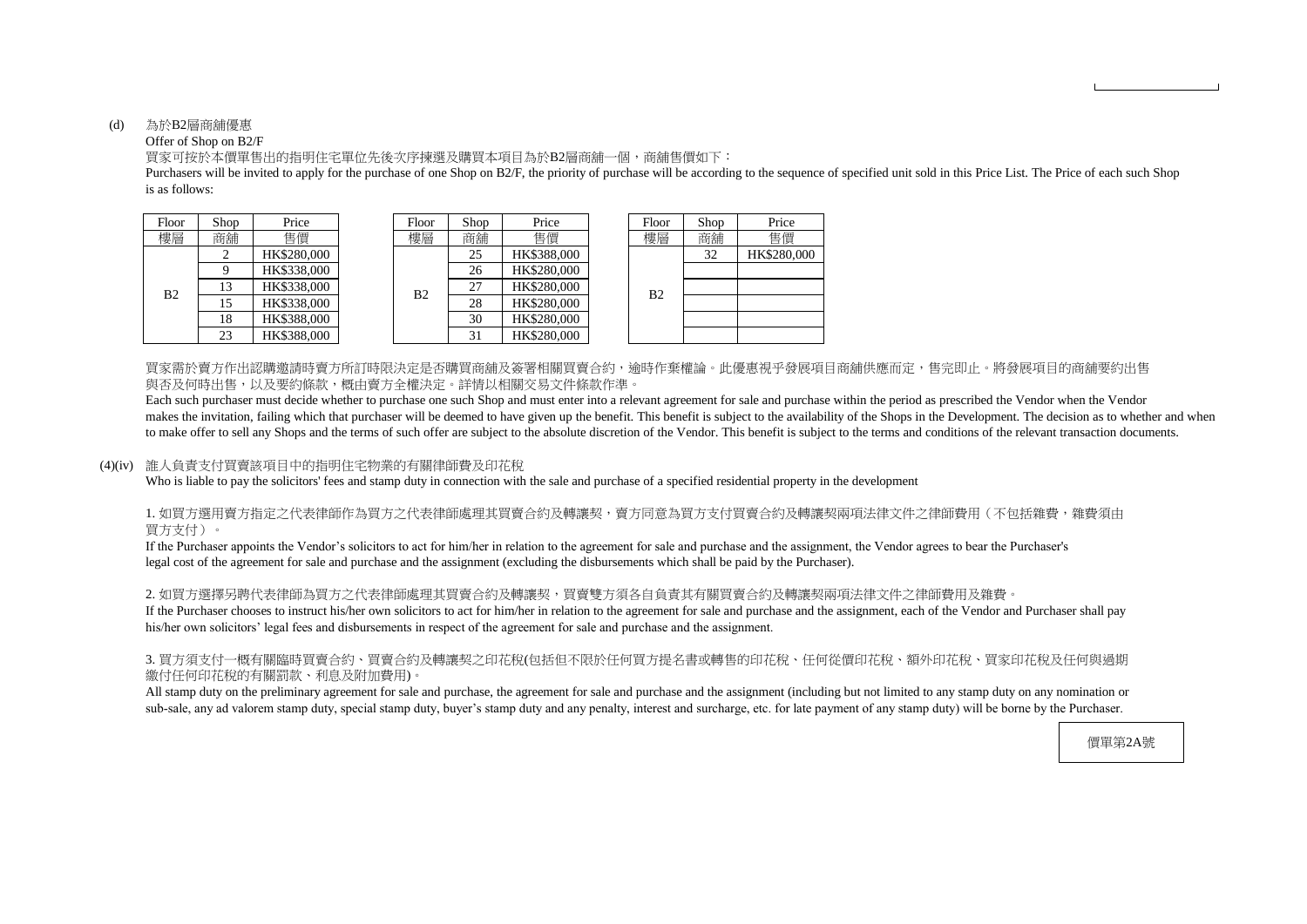#### (d) 為於B2層商舖優惠

#### Offer of Shop on B2/F

is as follows: Purchasers will be invited to apply for the purchase of one Shop on B2/F, the priority of purchase will be according to the sequence of specified unit sold in this Price List. The Price of each such Shop

買家可按於本價單售出的指明住宅單位先後次序揀選及購買本項目為於B2層商舖一個,商舖售價如下:

買家需於賣方作出認購邀請時賣方所訂時限決定是否購買商舖及簽署相關買賣合約,逾時作棄權論。此優惠視乎發展項目商舖供應而定,售完即止。將發展項目的商舖要約出售 與否及何時出售,以及要約條款,概由賣方全權決定。詳情以相關交易文件條款作準。

| hop            | Price       | Floor          | Shop | Price       | Floor          | Shop | Price       |
|----------------|-------------|----------------|------|-------------|----------------|------|-------------|
| 角舖             | 售價          | 樓層             | 商舖   | 售價          | 樓層             | 商鋪   | 售價          |
| $\overline{2}$ | HK\$280,000 |                | 25   | HK\$388,000 |                | 32   | HK\$280,000 |
| 9              | HK\$338,000 |                | 26   | HK\$280,000 |                |      |             |
| 13             | HK\$338,000 | B <sub>2</sub> | 27   | HK\$280,000 | B <sub>2</sub> |      |             |
| 15             | HK\$338,000 |                | 28   | HK\$280,000 |                |      |             |
| 18             | HK\$388,000 |                | 30   | HK\$280,000 |                |      |             |
| 23             | HK\$388,000 |                | 31   | HK\$280,000 |                |      |             |

| Floor          | Shop | Price       |
|----------------|------|-------------|
| 槵屆             | 商舖   | 售價          |
|                | 32   | HK\$280,000 |
|                |      |             |
| B <sub>2</sub> |      |             |
|                |      |             |
|                |      |             |
|                |      |             |

Each such purchaser must decide whether to purchase one such Shop and must enter into a relevant agreement for sale and purchase within the period as prescribed the Vendor when the Vendor makes the invitation, failing which that purchaser will be deemed to have given up the benefit. This benefit is subject to the availability of the Shops in the Development. The decision as to whether and when to make offer to sell any Shops and the terms of such offer are subject to the absolute discretion of the Vendor. This benefit is subject to the terms and conditions of the relevant transaction documents.

#### 1. 如買方選用賣方指定之代表律師作為買方之代表律師處理其買賣合約及轉讓契,賣方同意為買方支付買賣合約及轉讓契兩項法律文件之律師費用(不包括雜費,雜費須由 買方支付)。

2. 如買方選擇另聘代表律師為買方之代表律師處理其買賣合約及轉讓契,買賣雙方須各自負責其有關買賣合約及轉讓契兩項法律文件之律師費用及雜費。 If the Purchaser chooses to instruct his/her own solicitors to act for him/her in relation to the agreement for sale and purchase and the assignment, each of the Vendor and Purchaser shall pay his/her own solicitors' legal fees and disbursements in respect of the agreement for sale and purchase and the assignment.

#### (4)(iv) 誰人負責支付買賣該項目中的指明住宅物業的有關律師費及印花稅

Who is liable to pay the solicitors' fees and stamp duty in connection with the sale and purchase of a specified residential property in the development

| Floor          | Shop | Price              |  | Floor | Shop | Price       |  | Floor | Shop | Price    |
|----------------|------|--------------------|--|-------|------|-------------|--|-------|------|----------|
| 樓層             | 商舖   | 售價                 |  | 樓層    | 商舖   | 售價          |  | 樓層    | 商舖   | 售價       |
| B <sub>2</sub> |      | HK\$280,000        |  | B2    | 25   | HK\$388,000 |  |       | 32   | HK\$280. |
|                |      | HK\$338,000        |  |       | 26   | HK\$280,000 |  | B2    |      |          |
|                | 13   | HK\$338,000        |  |       | 27   | HK\$280,000 |  |       |      |          |
|                | 15   | HK\$338,000        |  |       | 28   | HK\$280,000 |  |       |      |          |
|                | 18   | HK\$388,000        |  |       | 30   | HK\$280,000 |  |       |      |          |
|                | 23   | <b>HK\$388.000</b> |  |       |      | HK\$280,000 |  |       |      |          |

If the Purchaser appoints the Vendor's solicitors to act for him/her in relation to the agreement for sale and purchase and the assignment, the Vendor agrees to bear the Purchaser's legal cost of the agreement for sale and purchase and the assignment (excluding the disbursements which shall be paid by the Purchaser).

#### 3. 買方須支付一概有關臨時買賣合約、買賣合約及轉讓契之印花稅(包括但不限於任何買方提名書或轉售的印花稅、任何從價印花稅、額外印花稅、買家印花稅及任何與過期 繳付任何印花稅的有關罰款、利息及附加費用)。

All stamp duty on the preliminary agreement for sale and purchase, the agreement for sale and purchase and the assignment (including but not limited to any stamp duty on any nomination or sub-sale, any ad valorem stamp duty, special stamp duty, buyer's stamp duty and any penalty, interest and surcharge, etc. for late payment of any stamp duty) will be borne by the Purchaser.

價單第2A號